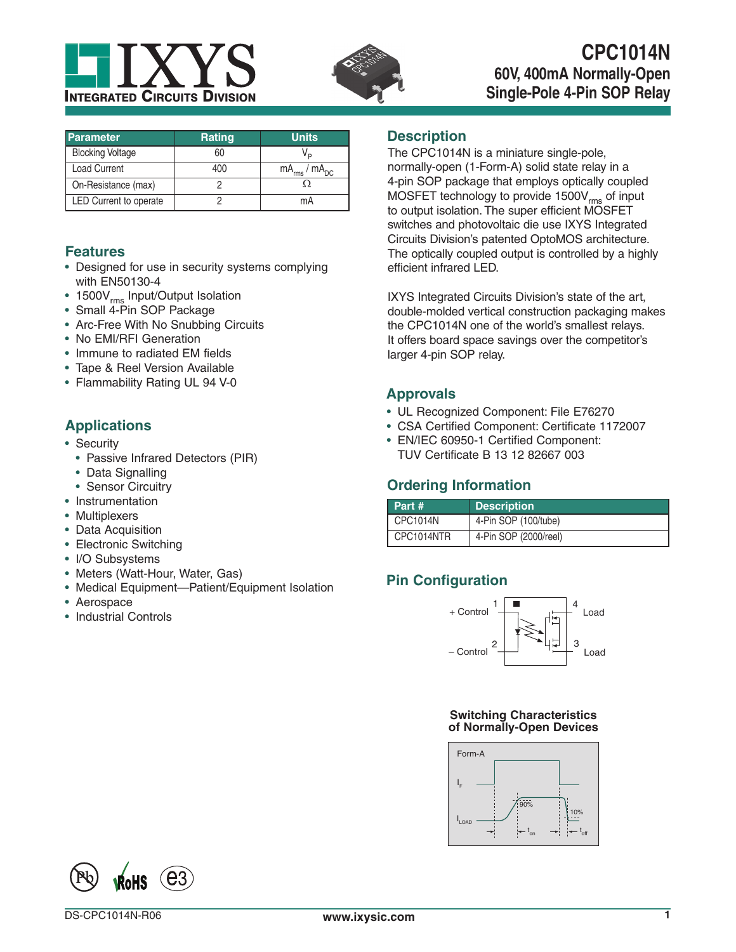



# **CPC1014N 60V, 400mA Normally-Open Single-Pole 4-Pin SOP Relay**

| <b>Parameter</b>        | <b>Rating</b> | <b>Units</b>           |
|-------------------------|---------------|------------------------|
| <b>Blocking Voltage</b> | 60            |                        |
| <b>Load Current</b>     | 400           | $mA_{rms}$ / $mA_{DC}$ |
| On-Resistance (max)     |               |                        |
| LED Current to operate  |               | mA                     |

## **Features**

- Designed for use in security systems complying with EN50130-4
- 1500V<sub>rms</sub> Input/Output Isolation
- Small 4-Pin SOP Package
- Arc-Free With No Snubbing Circuits
- No EMI/RFI Generation
- Immune to radiated EM fields
- Tape & Reel Version Available
- Flammability Rating UL 94 V-0

# **Applications**

- Security
	- Passive Infrared Detectors (PIR)
	- Data Signalling
	- Sensor Circuitry
- Instrumentation
- Multiplexers
- Data Acquisition
- Electronic Switching
- I/O Subsystems
- Meters (Watt-Hour, Water, Gas)
- Medical Equipment—Patient/Equipment Isolation
- Aerospace
- Industrial Controls

## **Description**

The CPC1014N is a miniature single-pole, normally-open (1-Form-A) solid state relay in a 4-pin SOP package that employs optically coupled MOSFET technology to provide 1500V<sub>rms</sub> of input to output isolation. The super efficient MOSFET switches and photovoltaic die use IXYS Integrated Circuits Division's patented OptoMOS architecture. The optically coupled output is controlled by a highly efficient infrared LED.

IXYS Integrated Circuits Division's state of the art, double-molded vertical construction packaging makes the CPC1014N one of the world's smallest relays. It offers board space savings over the competitor's larger 4-pin SOP relay.

## **Approvals**

- UL Recognized Component: File E76270
- CSA Certified Component: Certificate 1172007
- EN/IEC 60950-1 Certified Component: TUV Certificate B 13 12 82667 003

## **Ordering Information**

| Part #          | <b>Description</b>    |
|-----------------|-----------------------|
| <b>CPC1014N</b> | 4-Pin SOP (100/tube)  |
| CPC1014NTR      | 4-Pin SOP (2000/reel) |

# **Pin Configuration**



### **Switching Characteristics of Normally-Open Devices**



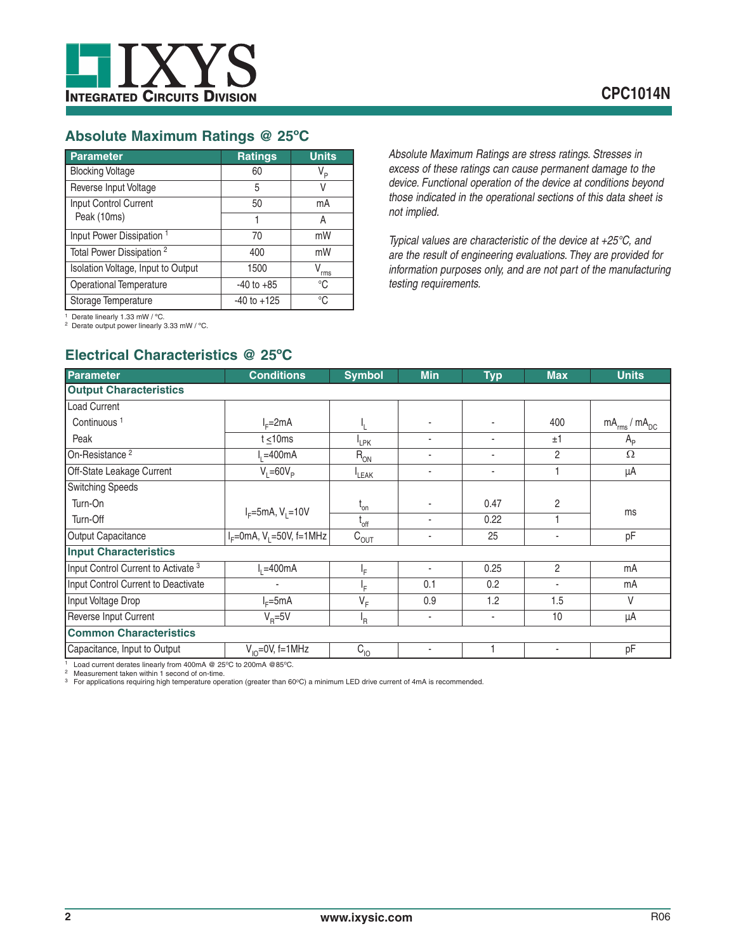

## **Absolute Maximum Ratings @ 25ºC**

| Parameter                            | <b>Ratings</b>  | <b>Units</b>   |
|--------------------------------------|-----------------|----------------|
| <b>Blocking Voltage</b>              | 60              | V <sub>P</sub> |
| Reverse Input Voltage                | 5               |                |
| Input Control Current                | 50              | mA             |
| Peak (10ms)                          | 1               | А              |
| Input Power Dissipation <sup>1</sup> | 70              | mW             |
| Total Power Dissipation <sup>2</sup> | 400             | mW             |
| Isolation Voltage, Input to Output   | 1500            | V<br>rms       |
| Operational Temperature              | $-40$ to $+85$  | °C             |
| Storage Temperature                  | $-40$ to $+125$ | °C             |

*Absolute Maximum Ratings are stress ratings. Stresses in excess of these ratings can cause permanent damage to the device. Functional operation of the device at conditions beyond those indicated in the operational sections of this data sheet is not implied.*

*Typical values are characteristic of the device at +25°C, and are the result of engineering evaluations. They are provided for information purposes only, and are not part of the manufacturing testing requirements.*

<sup>1</sup> Derate linearly 1.33 mW / °C.<br><sup>2</sup> Derate output power linearly 3.33 mW / °C.

# **Electrical Characteristics @ 25ºC**

| <b>Parameter</b>                                                                                           | <b>Conditions</b>                         | <b>Symbol</b>               | <b>Min</b> | <b>Typ</b> | <b>Max</b>               | <b>Units</b>           |
|------------------------------------------------------------------------------------------------------------|-------------------------------------------|-----------------------------|------------|------------|--------------------------|------------------------|
| <b>Output Characteristics</b>                                                                              |                                           |                             |            |            |                          |                        |
| <b>Load Current</b>                                                                                        |                                           |                             |            |            |                          |                        |
| Continuous <sup>1</sup>                                                                                    | $IF=2mA$                                  |                             |            |            | 400                      | $mA_{rms}$ / $mA_{DC}$ |
| Peak                                                                                                       | t $\leq 10$ ms                            | <sup>I</sup> LPK            | ٠          | ٠          | ±1                       | $A_{\rm p}$            |
| On-Resistance <sup>2</sup>                                                                                 | $I1 = 400mA$                              | $R_{ON}$                    | ٠          | ٠          | $\overline{2}$           | Ω                      |
| Off-State Leakage Current                                                                                  | $V_i = 60V_p$                             | LEAK                        | ٠          | ٠          |                          | μA                     |
| <b>Switching Speeds</b>                                                                                    |                                           |                             |            |            |                          |                        |
| Turn-On                                                                                                    | $I_F = 5mA, V_1 = 10V$                    | $t_{on}$                    |            | 0.47       | 2                        |                        |
| Turn-Off                                                                                                   |                                           | $t_{\rm off}$               | ٠          | 0.22       |                          | ms                     |
| Output Capacitance                                                                                         | $I_{F}$ =0mA, V <sub>1</sub> =50V, f=1MHz | $\mathtt{C}_{\texttt{OUT}}$ | ٠          | 25         | $\overline{\phantom{a}}$ | pF                     |
| <b>Input Characteristics</b>                                                                               |                                           |                             |            |            |                          |                        |
| Input Control Current to Activate <sup>3</sup>                                                             | $I1 = 400mA$                              | ١F.                         | ٠          | 0.25       | $\overline{2}$           | mA                     |
| Input Control Current to Deactivate                                                                        |                                           | ŀF                          | 0.1        | 0.2        | $\overline{\phantom{a}}$ | mA                     |
| Input Voltage Drop                                                                                         | $I_c = 5mA$                               | $V_F$                       | 0.9        | 1.2        | 1.5                      | V                      |
| Reverse Input Current                                                                                      | $V_{\rm B} = 5V$                          | <sup>I</sup> R              | ٠          | ٠          | 10                       | μA                     |
| <b>Common Characteristics</b>                                                                              |                                           |                             |            |            |                          |                        |
| Capacitance, Input to Output                                                                               | $V_{10} = 0V$ , f=1MHz                    | $C_{10}$                    |            |            |                          | pF                     |
| $1 \text{ rad}$ accuracy devotes linearly from $100 \text{ rad}$ $\odot$ 0500 to 000m $\odot$ $\odot$ 0500 |                                           |                             |            |            |                          |                        |

1 Load current derates linearly from 400mA @ 25°C to 200mA @85°C.<br><sup>2</sup> Measurement taken within 1 second of on-time.

<sup>3</sup> For applications requiring high temperature operation (greater than 60°C) a minimum LED drive current of 4mA is recommended.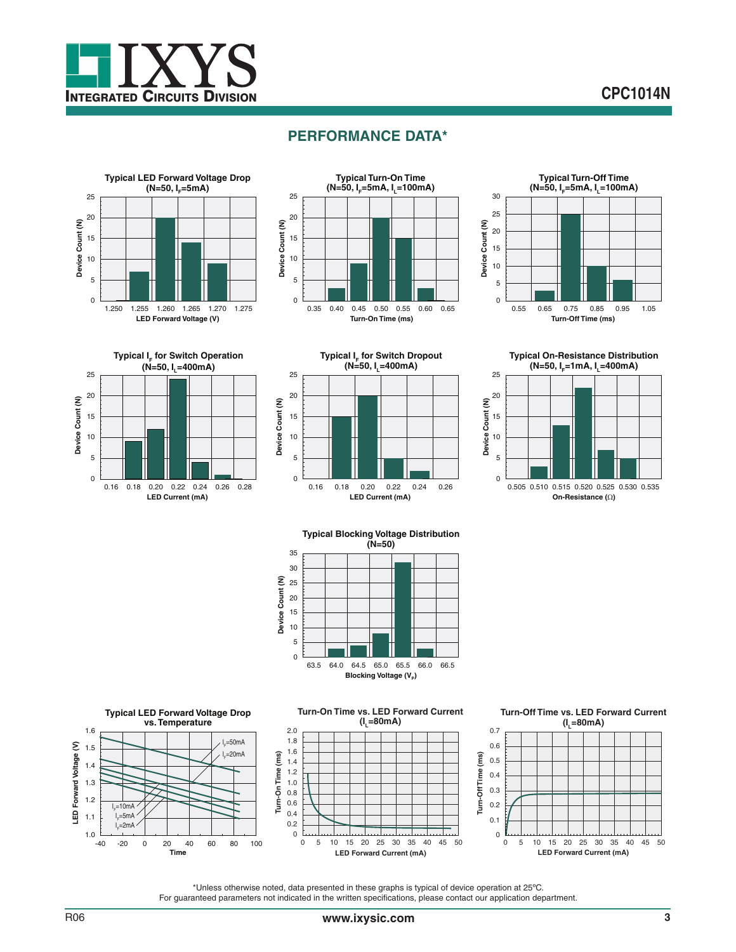

## **PERFORMANCE DATA\***















**Typical Blocking Voltage Distribution (N=50)**





\*Unless otherwise noted, data presented in these graphs is typical of device operation at 25ºC. For guaranteed parameters not indicated in the written specifications, please contact our application department.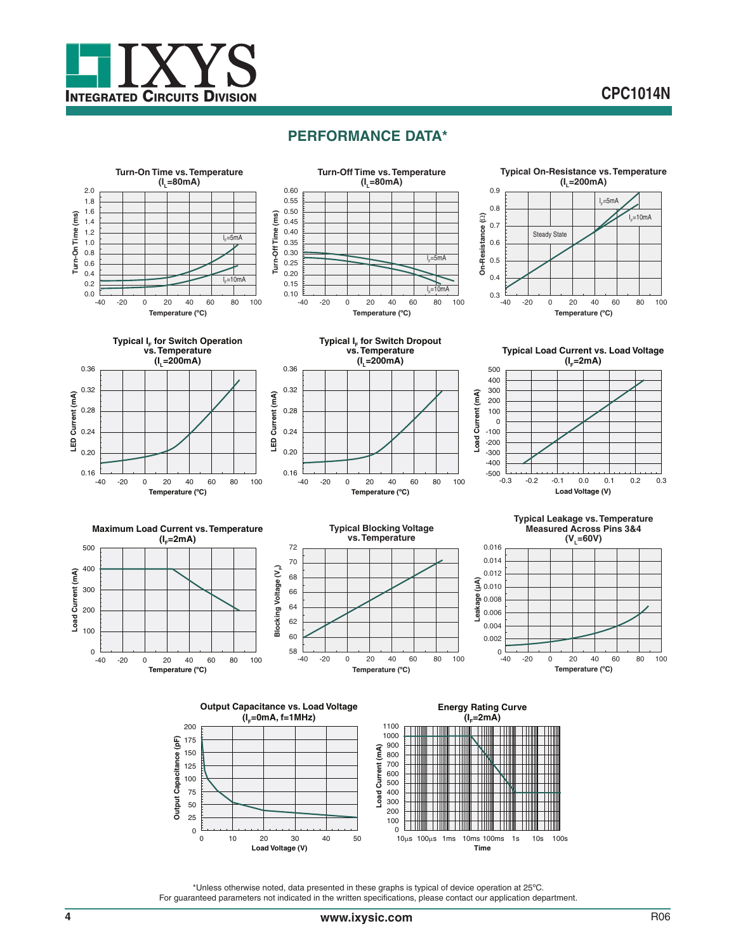

# **CPC1014N**

### **PERFORMANCE DATA\***



\*Unless otherwise noted, data presented in these graphs is typical of device operation at 25ºC. For guaranteed parameters not indicated in the written specifications, please contact our application department.

**Time**

**Load Voltage (V)** 0 10 20 30 40 50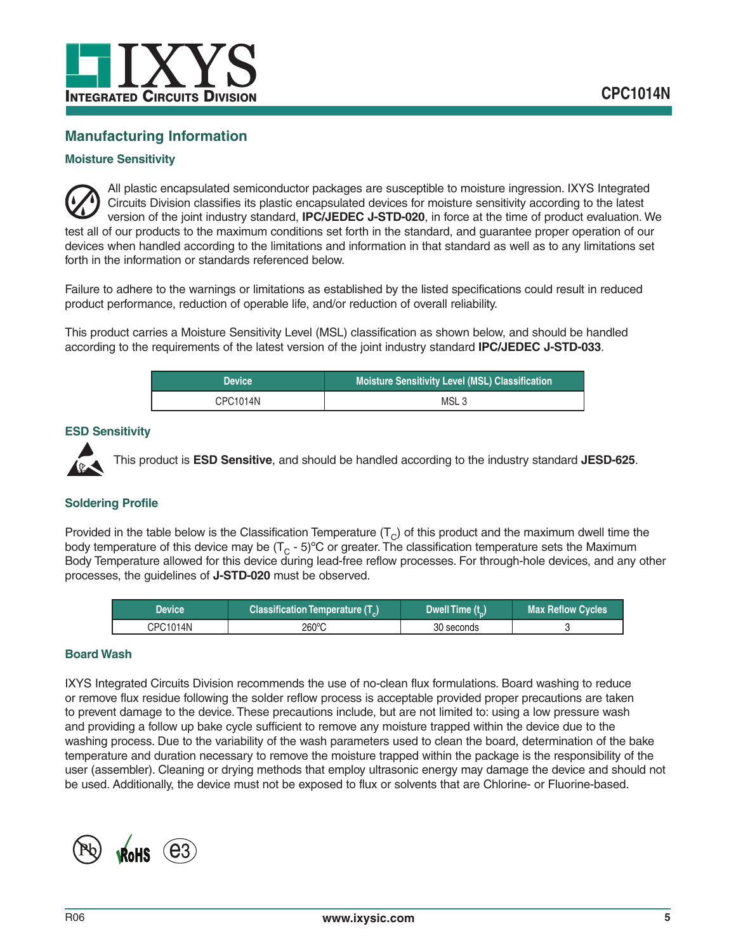

## **Manufacturing Information**

### **Moisture Sensitivity**



All plastic encapsulated semiconductor packages are susceptible to moisture ingression. IXYS Integrated Circuits Division classifies its plastic encapsulated devices for moisture sensitivity according to the latest version of the joint industry standard, **IPC/JEDEC J-STD-020**, in force at the time of product evaluation. We test all of our products to the maximum conditions set forth in the standard, and guarantee proper operation of our devices when handled according to the limitations and information in that standard as well as to any limitations set forth in the information or standards referenced below.

Failure to adhere to the warnings or limitations as established by the listed specifications could result in reduced product performance, reduction of operable life, and/or reduction of overall reliability.

This product carries a Moisture Sensitivity Level (MSL) classification as shown below, and should be handled according to the requirements of the latest version of the joint industry standard **IPC/JEDEC J-STD-033**.

| <b>Device</b> | Moisture Sensitivity Level (MSL) Classification |  |
|---------------|-------------------------------------------------|--|
| CPC1014N      | MSL <sub>3</sub>                                |  |

### **ESD Sensitivity**



This product is **ESD Sensitive**, and should be handled according to the industry standard **JESD-625**.

### **Soldering Profile**

Provided in the table below is the Classification Temperature  $(T<sub>C</sub>)$  of this product and the maximum dwell time the body temperature of this device may be  $(T<sub>C</sub> - 5)$ °C or greater. The classification temperature sets the Maximum Body Temperature allowed for this device during lead-free reflow processes. For through-hole devices, and any other processes, the guidelines of **J-STD-020** must be observed.

| Device   | Classification Temperature (T <sub>c</sub> ) | Dwell Time (t_) | Max Reflow Cycles |
|----------|----------------------------------------------|-----------------|-------------------|
| CPC1014N | 260°C                                        | 30 seconds      |                   |

### **Board Wash**

IXYS Integrated Circuits Division recommends the use of no-clean flux formulations. Board washing to reduce or remove flux residue following the solder reflow process is acceptable provided proper precautions are taken to prevent damage to the device. These precautions include, but are not limited to: using a low pressure wash and providing a follow up bake cycle sufficient to remove any moisture trapped within the device due to the washing process. Due to the variability of the wash parameters used to clean the board, determination of the bake temperature and duration necessary to remove the moisture trapped within the package is the responsibility of the user (assembler). Cleaning or drying methods that employ ultrasonic energy may damage the device and should not be used. Additionally, the device must not be exposed to flux or solvents that are Chlorine- or Fluorine-based.